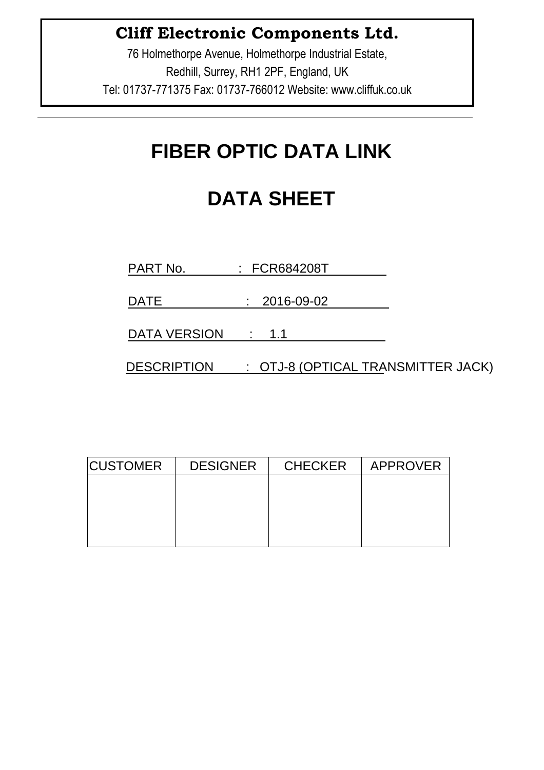76 Holmethorpe Avenue, Holmethorpe Industrial Estate, Redhill, Surrey, RH1 2PF, England, UK Tel: 01737-771375 Fax: 01737-766012 Website: www.cliffuk.co.uk

# **FIBER OPTIC DATA LINK**

# **DATA SHEET**

PART No. : FCR684208T

DATE : 2016-09-02

DATA VERSION : 1.1

DESCRIPTION : OTJ-8 (OPTICAL TRANSMITTER JACK)

| <b>CUSTOMER</b><br><b>DESIGNER</b> |  | <b>CHECKER</b> | APPROVER |
|------------------------------------|--|----------------|----------|
|                                    |  |                |          |
|                                    |  |                |          |
|                                    |  |                |          |
|                                    |  |                |          |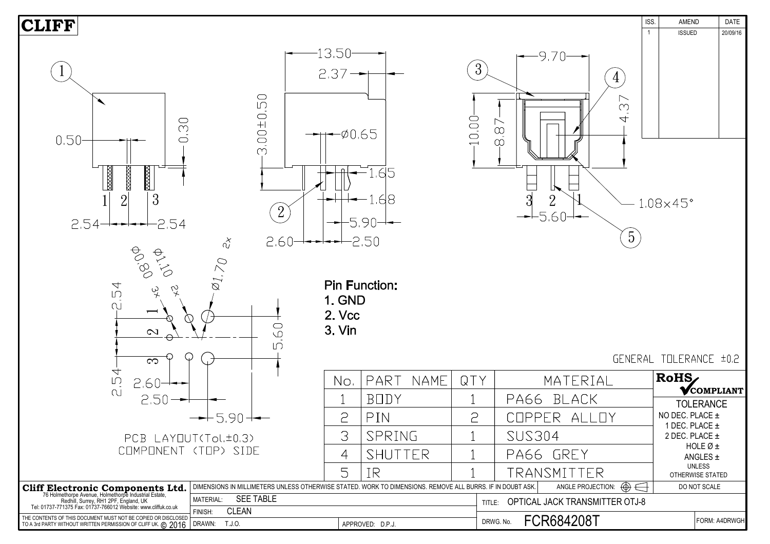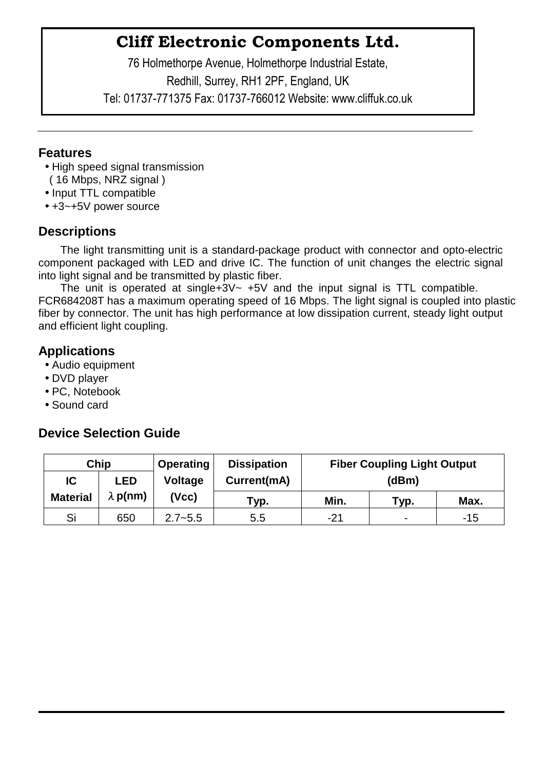76 Holmethorpe Avenue, Holmethorpe Industrial Estate, Redhill, Surrey, RH1 2PF, England, UK Tel: 01737-771375 Fax: 01737-766012 Website: www.cliffuk.co.uk

#### **Features**

- High speed signal transmission
- ( 16 Mbps, NRZ signal )
- Input TTL compatible
- +3~+5V power source

### **Descriptions**

The light transmitting unit is a standard-package product with connector and opto-electric component packaged with LED and drive IC. The function of unit changes the electric signal into light signal and be transmitted by plastic fiber.

The unit is operated at single+3V $\sim$  +5V and the input signal is TTL compatible. FCR684208T has a maximum operating speed of 16 Mbps. The light signal is coupled into plastic fiber by connector. The unit has high performance at low dissipation current, steady light output and efficient light coupling.

#### **Applications**

- Audio equipment
- DVD player
- PC, Notebook
- Sound card

#### **Device Selection Guide**

| Chip            |                 | <b>Operating</b> | <b>Dissipation</b> | <b>Fiber Coupling Light Output</b> |                          |       |  |
|-----------------|-----------------|------------------|--------------------|------------------------------------|--------------------------|-------|--|
| IC              | <b>LED</b>      | <b>Voltage</b>   | Current(mA)        | (dBm)                              |                          |       |  |
| <b>Material</b> | $\lambda$ p(nm) | (Vcc)            | $\mathsf{Typ}$ .   | Min.                               | Тур.                     | Max.  |  |
| Si              | 650             | $2.7 - 5.5$      | 5.5                | $-21$                              | $\overline{\phantom{0}}$ | $-15$ |  |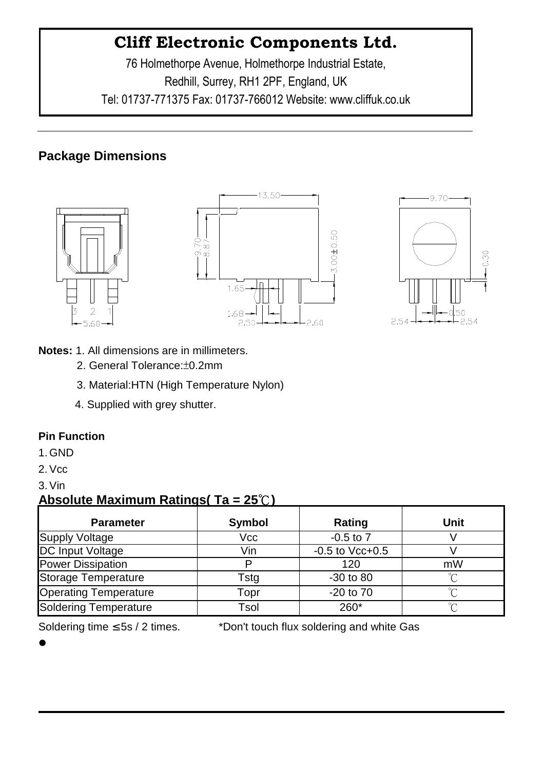76 Holmethorpe Avenue, Holmethorpe Industrial Estate, Redhill, Surrey, RH1 2PF, England, UK Tel: 01737-771375 Fax: 01737-766012 Website: www.cliffuk.co.uk

### **Package Dimensions**







- **Notes:** 1. All dimensions are in millimeters.
	- 2. General Tolerance:±0.2mm
	- 3. Material:HTN (High Temperature Nylon)
	- 4. Supplied with grey shutter.

#### **Pin Function**

- 1. GND
- 2.Vcc
- 3.Vin

#### **Absolute Maximum Ratings( Ta = 25**℃**)**

| <b>Parameter</b>             | Symbol | Rating               | <b>Unit</b> |
|------------------------------|--------|----------------------|-------------|
| Supply Voltage               | Vcc    | $-0.5$ to $7$        |             |
| <b>DC Input Voltage</b>      | Vin    | $-0.5$ to Vcc $+0.5$ |             |
| <b>Power Dissipation</b>     | D      | 120                  | mW          |
| Storage Temperature          | Tstg   | $-30$ to $80$        | ∽           |
| <b>Operating Temperature</b> | Topr   | $-20$ to $70$        | $\sim$      |
| Soldering Temperature        | Tsol   | 260*                 | $\sim$      |

Soldering time ≤ 5s / 2 times. \*Don't touch flux soldering and white Gas

 $\bullet$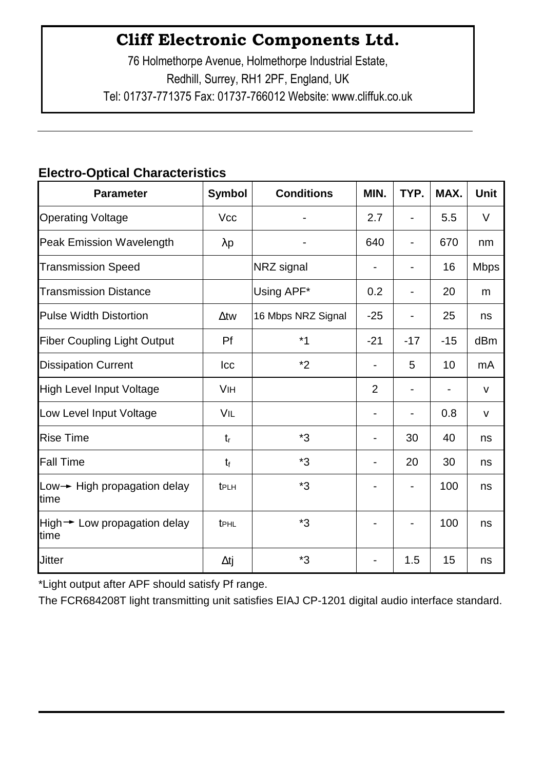76 Holmethorpe Avenue, Holmethorpe Industrial Estate, Redhill, Surrey, RH1 2PF, England, UK Tel: 01737-771375 Fax: 01737-766012 Website: www.cliffuk.co.uk

### **Electro-Optical Characteristics**

| <b>Parameter</b>                     | <b>Symbol</b> | <b>Conditions</b>  | MIN.           | TYP.  | MAX.  | <b>Unit</b>  |
|--------------------------------------|---------------|--------------------|----------------|-------|-------|--------------|
| <b>Operating Voltage</b>             | <b>Vcc</b>    |                    | 2.7            |       | 5.5   | $\vee$       |
| <b>Peak Emission Wavelength</b>      | $\lambda p$   |                    | 640            |       | 670   | nm           |
| <b>Transmission Speed</b>            |               | NRZ signal         |                |       | 16    | <b>Mbps</b>  |
| <b>Transmission Distance</b>         |               | Using APF*         | 0.2            |       | 20    | m            |
| <b>Pulse Width Distortion</b>        | $\Delta$ tw   | 16 Mbps NRZ Signal | $-25$          |       | 25    | ns           |
| <b>Fiber Coupling Light Output</b>   | Pf            | $*1$               | $-21$          | $-17$ | $-15$ | dBm          |
| <b>Dissipation Current</b>           | Icc           | $*2$               |                | 5     | 10    | mA           |
| <b>High Level Input Voltage</b>      | <b>VIH</b>    |                    | $\overline{2}$ |       |       | V            |
| Low Level Input Voltage              | VIL           |                    |                |       | 0.8   | $\mathsf{V}$ |
| <b>Rise Time</b>                     | $t_{r}$       | *3                 |                | 30    | 40    | ns           |
| <b>Fall Time</b>                     | $t_{\rm f}$   | *3                 |                | 20    | 30    | ns           |
| Low→ High propagation delay<br>time  | tPLH          | *3                 |                |       | 100   | ns           |
| High → Low propagation delay<br>time | tPHL          | *3                 |                |       | 100   | ns           |
| <b>Jitter</b>                        | $\Delta t$ j  | *3                 |                | 1.5   | 15    | ns           |

\*Light output after APF should satisfy Pf range.

The FCR684208T light transmitting unit satisfies EIAJ CP-1201 digital audio interface standard.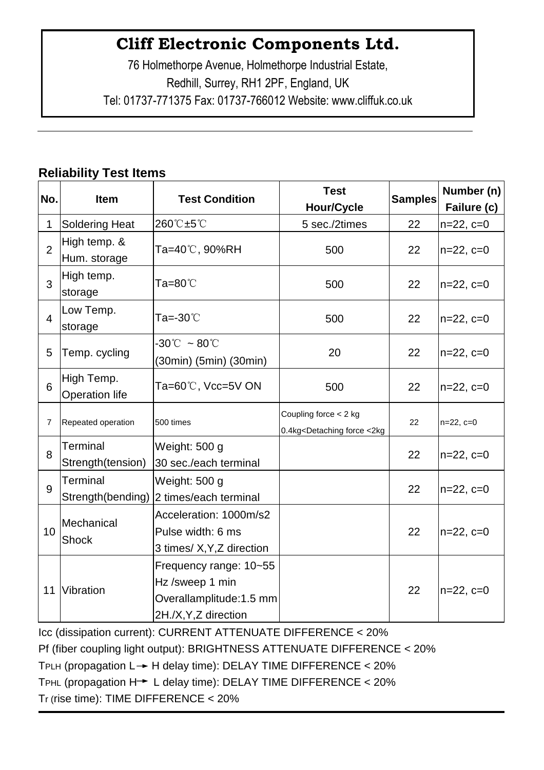76 Holmethorpe Avenue, Holmethorpe Industrial Estate, Redhill, Surrey, RH1 2PF, England, UK Tel: 01737-771375 Fax: 01737-766012 Website: www.cliffuk.co.uk

### **Reliability Test Items**

| No.            | <b>Item</b>                         | <b>Test Condition</b>                                                                       | <b>Test</b><br><b>Hour/Cycle</b>                                                                                           | <b>Samples</b> | Number (n)<br>Failure (c) |
|----------------|-------------------------------------|---------------------------------------------------------------------------------------------|----------------------------------------------------------------------------------------------------------------------------|----------------|---------------------------|
| 1              | <b>Soldering Heat</b>               | 260℃±5℃                                                                                     | 5 sec./2times                                                                                                              | 22             | $n=22, c=0$               |
| $\overline{2}$ | High temp. &<br>Hum. storage        | Ta=40℃, 90%RH                                                                               | 500                                                                                                                        | 22             | $n=22, c=0$               |
| 3              | High temp.<br>storage               | Ta=80℃                                                                                      | 500                                                                                                                        | 22             | $n=22, c=0$               |
| $\overline{4}$ | Low Temp.<br>storage                | Ta=-30 $^{\circ}\!$                                                                         | 500                                                                                                                        | 22             | $n=22, c=0$               |
| 5              | Temp. cycling                       | $-30^{\circ}\text{C}~\sim80^{\circ}\text{C}$<br>(30min) (5min) (30min)                      | 20                                                                                                                         | 22             | $n=22, c=0$               |
| 6              | High Temp.<br><b>Operation life</b> | Ta=60℃, Vcc=5V ON                                                                           | 500                                                                                                                        | 22             | $n=22, c=0$               |
| 7              | Repeated operation                  | 500 times                                                                                   | Coupling force $<$ 2 kg<br>0.4kg <detaching <2kg<="" force="" td=""><td>22</td><td><math>n=22, c=0</math></td></detaching> | 22             | $n=22, c=0$               |
| 8              | Terminal<br>Strength(tension)       | Weight: 500 g<br>30 sec./each terminal                                                      |                                                                                                                            | 22             | $ n=22, c=0$              |
| 9              | Terminal                            | Weight: 500 g<br>Strength(bending) 2 times/each terminal                                    |                                                                                                                            | 22             | $n=22, c=0$               |
| 10             | Mechanical<br><b>Shock</b>          | Acceleration: 1000m/s2<br>Pulse width: 6 ms<br>3 times/ X, Y, Z direction                   |                                                                                                                            | 22             | $n=22, c=0$               |
|                | 11 Vibration                        | Frequency range: 10~55<br>Hz /sweep 1 min<br>Overallamplitude:1.5 mm<br>2H./X,Y,Z direction |                                                                                                                            | 22             | $n=22, c=0$               |

Icc (dissipation current): CURRENT ATTENUATE DIFFERENCE < 20% Pf (fiber coupling light output): BRIGHTNESS ATTENUATE DIFFERENCE < 20% TPLH (propagation  $L \rightarrow H$  delay time): DELAY TIME DIFFERENCE < 20% TPHL (propagation  $H \rightarrow L$  delay time): DELAY TIME DIFFERENCE < 20% Tr (rise time): TIME DIFFERENCE < 20%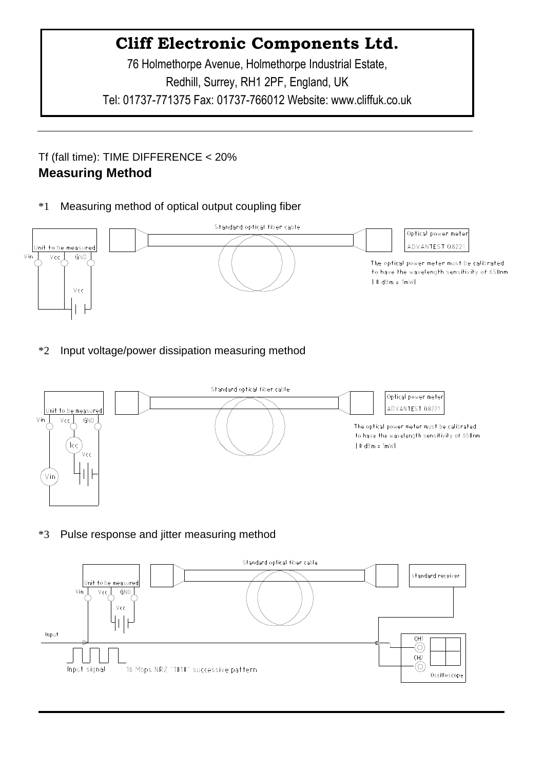76 Holmethorpe Avenue, Holmethorpe Industrial Estate, Redhill, Surrey, RH1 2PF, England, UK Tel: 01737-771375 Fax: 01737-766012 Website: www.cliffuk.co.uk

#### Tf (fall time): TIME DIFFERENCE < 20% **Measuring Method**

\*1 Measuring method of optical output coupling fiber



\*2 Input voltage/power dissipation measuring method



\*3 Pulse response and jitter measuring method

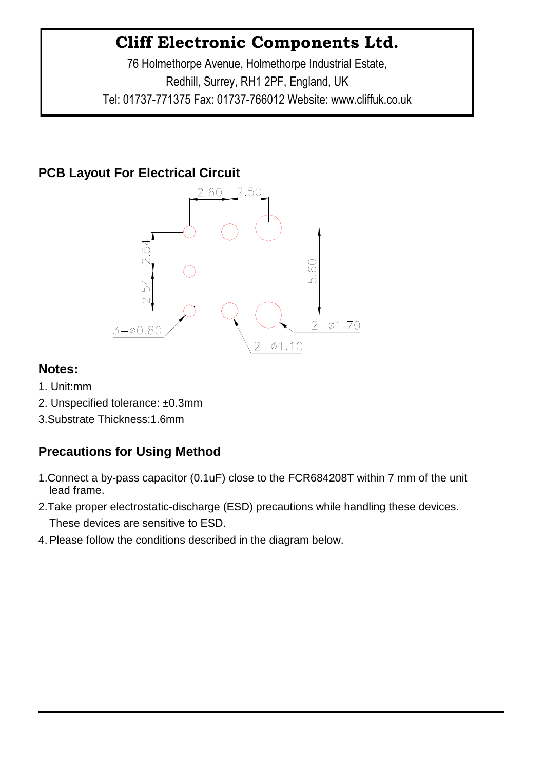76 Holmethorpe Avenue, Holmethorpe Industrial Estate, Redhill, Surrey, RH1 2PF, England, UK Tel: 01737-771375 Fax: 01737-766012 Website: www.cliffuk.co.uk

### **PCB Layout For Electrical Circuit**



#### **Notes:**

- 1. Unit:mm
- 2. Unspecified tolerance: ±0.3mm
- 3.Substrate Thickness:1.6mm

### **Precautions for Using Method**

- 1.Connect a by-pass capacitor (0.1uF) close to the FCR684208T within 7 mm of the unit lead frame.
- 2.Take proper electrostatic-discharge (ESD) precautions while handling these devices. These devices are sensitive to ESD.
- 4.Please follow the conditions described in the diagram below.